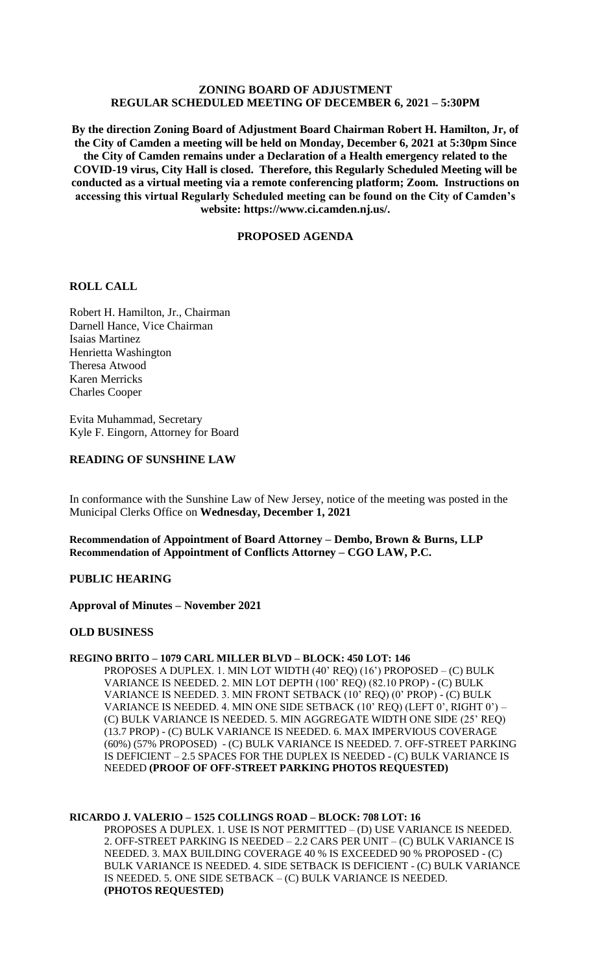# **ZONING BOARD OF ADJUSTMENT REGULAR SCHEDULED MEETING OF DECEMBER 6, 2021 – 5:30PM**

**By the direction Zoning Board of Adjustment Board Chairman Robert H. Hamilton, Jr, of the City of Camden a meeting will be held on Monday, December 6, 2021 at 5:30pm Since the City of Camden remains under a Declaration of a Health emergency related to the COVID-19 virus, City Hall is closed. Therefore, this Regularly Scheduled Meeting will be conducted as a virtual meeting via a remote conferencing platform; Zoom. Instructions on accessing this virtual Regularly Scheduled meeting can be found on the City of Camden's website: https://www.ci.camden.nj.us/.**

## **PROPOSED AGENDA**

## **ROLL CALL**

Robert H. Hamilton, Jr., Chairman Darnell Hance, Vice Chairman Isaias Martinez Henrietta Washington Theresa Atwood Karen Merricks Charles Cooper

Evita Muhammad, Secretary Kyle F. Eingorn, Attorney for Board

## **READING OF SUNSHINE LAW**

In conformance with the Sunshine Law of New Jersey, notice of the meeting was posted in the Municipal Clerks Office on **Wednesday, December 1, 2021**

**Recommendation of Appointment of Board Attorney – Dembo, Brown & Burns, LLP Recommendation of Appointment of Conflicts Attorney – CGO LAW, P.C.**

### **PUBLIC HEARING**

**Approval of Minutes – November 2021**

#### **OLD BUSINESS**

## **REGINO BRITO – 1079 CARL MILLER BLVD – BLOCK: 450 LOT: 146**

PROPOSES A DUPLEX. 1. MIN LOT WIDTH (40' REQ) (16') PROPOSED – (C) BULK VARIANCE IS NEEDED. 2. MIN LOT DEPTH (100' REQ) (82.10 PROP) - (C) BULK VARIANCE IS NEEDED. 3. MIN FRONT SETBACK (10' REQ) (0' PROP) - (C) BULK VARIANCE IS NEEDED. 4. MIN ONE SIDE SETBACK (10' REQ) (LEFT 0', RIGHT 0') – (C) BULK VARIANCE IS NEEDED. 5. MIN AGGREGATE WIDTH ONE SIDE (25' REQ) (13.7 PROP) - (C) BULK VARIANCE IS NEEDED. 6. MAX IMPERVIOUS COVERAGE (60%) (57% PROPOSED) - (C) BULK VARIANCE IS NEEDED. 7. OFF-STREET PARKING IS DEFICIENT – 2.5 SPACES FOR THE DUPLEX IS NEEDED - (C) BULK VARIANCE IS NEEDED **(PROOF OF OFF-STREET PARKING PHOTOS REQUESTED)**

#### **RICARDO J. VALERIO – 1525 COLLINGS ROAD – BLOCK: 708 LOT: 16**

PROPOSES A DUPLEX. 1. USE IS NOT PERMITTED – (D) USE VARIANCE IS NEEDED. 2. OFF-STREET PARKING IS NEEDED – 2.2 CARS PER UNIT – (C) BULK VARIANCE IS NEEDED. 3. MAX BUILDING COVERAGE 40 % IS EXCEEDED 90 % PROPOSED - (C) BULK VARIANCE IS NEEDED. 4. SIDE SETBACK IS DEFICIENT - (C) BULK VARIANCE IS NEEDED. 5. ONE SIDE SETBACK – (C) BULK VARIANCE IS NEEDED. **(PHOTOS REQUESTED)**